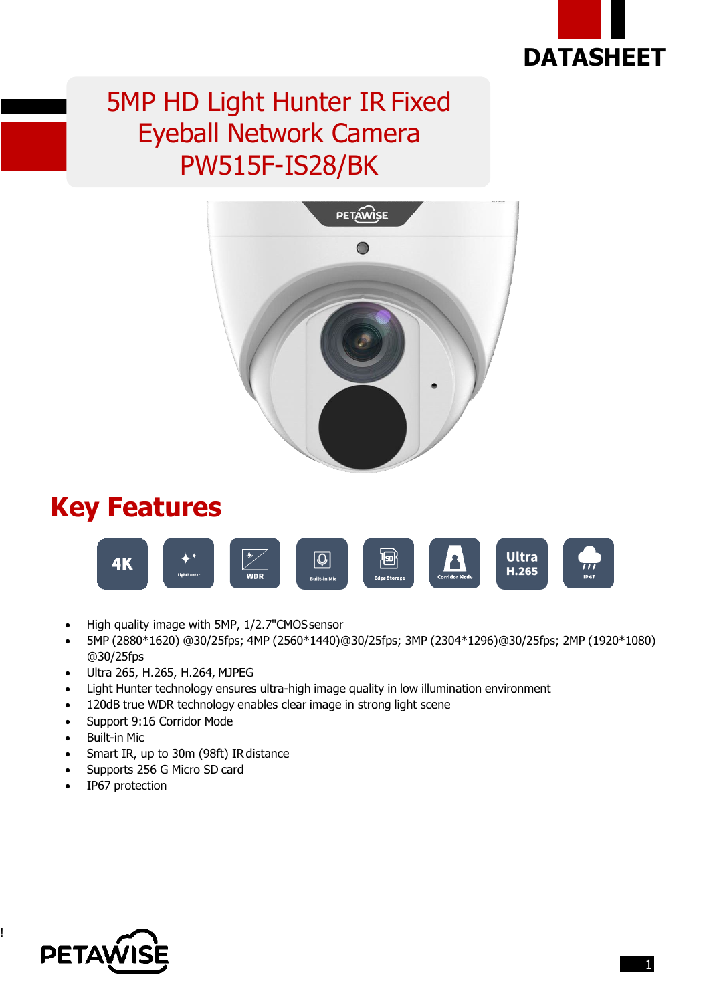

## 5MP HD Light Hunter IR Fixed Eyeball Network Camera PW515F-IS28/BK



#### **Key Features**



- High quality image with 5MP, 1/2.7"CMOSsensor
- 5MP (2880\*1620) @30/25fps; 4MP (2560\*1440)@30/25fps; 3MP (2304\*1296)@30/25fps; 2MP (1920\*1080) @30/25fps
- Ultra 265, H.265, H.264, MJPEG
- Light Hunter technology ensures ultra-high image quality in low illumination environment
- 120dB true WDR technology enables clear image in strong light scene
- Support 9:16 Corridor Mode
- Built-in Mic
- Smart IR, up to 30m (98ft) IR distance
- Supports 256 G Micro SD card
- IP67 protection



!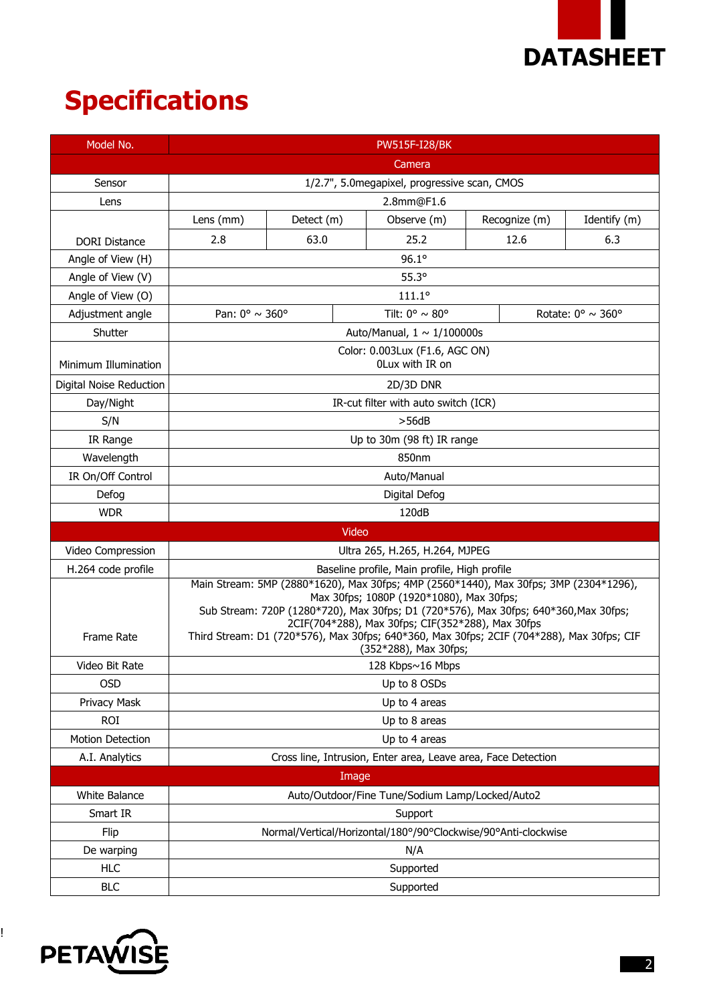

# **Specifications**

| Model No.               | <b>PW515F-I28/BK</b>                                                                                                                                                                                                                                                                                                                                                                                 |                                  |       |                                   |  |               |                                      |  |
|-------------------------|------------------------------------------------------------------------------------------------------------------------------------------------------------------------------------------------------------------------------------------------------------------------------------------------------------------------------------------------------------------------------------------------------|----------------------------------|-------|-----------------------------------|--|---------------|--------------------------------------|--|
|                         | Camera                                                                                                                                                                                                                                                                                                                                                                                               |                                  |       |                                   |  |               |                                      |  |
| Sensor                  | 1/2.7", 5.0megapixel, progressive scan, CMOS                                                                                                                                                                                                                                                                                                                                                         |                                  |       |                                   |  |               |                                      |  |
| Lens                    | 2.8mm@F1.6                                                                                                                                                                                                                                                                                                                                                                                           |                                  |       |                                   |  |               |                                      |  |
|                         | Lens (mm)                                                                                                                                                                                                                                                                                                                                                                                            | Detect (m)                       |       | Observe (m)                       |  | Recognize (m) | Identify (m)                         |  |
| <b>DORI Distance</b>    | 2.8                                                                                                                                                                                                                                                                                                                                                                                                  | 63.0                             |       | 25.2                              |  | 12.6          | 6.3                                  |  |
| Angle of View (H)       |                                                                                                                                                                                                                                                                                                                                                                                                      |                                  |       | 96.1°                             |  |               |                                      |  |
| Angle of View (V)       | $55.3^\circ$                                                                                                                                                                                                                                                                                                                                                                                         |                                  |       |                                   |  |               |                                      |  |
| Angle of View (O)       | $111.1^{\circ}$                                                                                                                                                                                                                                                                                                                                                                                      |                                  |       |                                   |  |               |                                      |  |
| Adjustment angle        | Pan: $0^{\circ} \sim 360^{\circ}$                                                                                                                                                                                                                                                                                                                                                                    |                                  |       | Tilt: $0^{\circ} \sim 80^{\circ}$ |  |               | Rotate: $0^{\circ} \sim 360^{\circ}$ |  |
| Shutter                 |                                                                                                                                                                                                                                                                                                                                                                                                      | Auto/Manual, $1 \sim 1/100000$ s |       |                                   |  |               |                                      |  |
| Minimum Illumination    | Color: 0.003Lux (F1.6, AGC ON)<br>OLux with IR on                                                                                                                                                                                                                                                                                                                                                    |                                  |       |                                   |  |               |                                      |  |
| Digital Noise Reduction | 2D/3D DNR                                                                                                                                                                                                                                                                                                                                                                                            |                                  |       |                                   |  |               |                                      |  |
| Day/Night               | IR-cut filter with auto switch (ICR)                                                                                                                                                                                                                                                                                                                                                                 |                                  |       |                                   |  |               |                                      |  |
| S/N                     | >56dB                                                                                                                                                                                                                                                                                                                                                                                                |                                  |       |                                   |  |               |                                      |  |
| IR Range                | Up to 30m (98 ft) IR range                                                                                                                                                                                                                                                                                                                                                                           |                                  |       |                                   |  |               |                                      |  |
| Wavelength              | 850nm                                                                                                                                                                                                                                                                                                                                                                                                |                                  |       |                                   |  |               |                                      |  |
| IR On/Off Control       | Auto/Manual                                                                                                                                                                                                                                                                                                                                                                                          |                                  |       |                                   |  |               |                                      |  |
| Defog                   | Digital Defog                                                                                                                                                                                                                                                                                                                                                                                        |                                  |       |                                   |  |               |                                      |  |
| <b>WDR</b>              | 120dB                                                                                                                                                                                                                                                                                                                                                                                                |                                  |       |                                   |  |               |                                      |  |
|                         |                                                                                                                                                                                                                                                                                                                                                                                                      |                                  | Video |                                   |  |               |                                      |  |
| Video Compression       | Ultra 265, H.265, H.264, MJPEG                                                                                                                                                                                                                                                                                                                                                                       |                                  |       |                                   |  |               |                                      |  |
| H.264 code profile      | Baseline profile, Main profile, High profile                                                                                                                                                                                                                                                                                                                                                         |                                  |       |                                   |  |               |                                      |  |
| Frame Rate              | Main Stream: 5MP (2880*1620), Max 30fps; 4MP (2560*1440), Max 30fps; 3MP (2304*1296),<br>Max 30fps; 1080P (1920*1080), Max 30fps;<br>Sub Stream: 720P (1280*720), Max 30fps; D1 (720*576), Max 30fps; 640*360, Max 30fps;<br>2CIF(704*288), Max 30fps; CIF(352*288), Max 30fps<br>Third Stream: D1 (720*576), Max 30fps; 640*360, Max 30fps; 2CIF (704*288), Max 30fps; CIF<br>(352*288), Max 30fps; |                                  |       |                                   |  |               |                                      |  |
| Video Bit Rate          | 128 Kbps~16 Mbps                                                                                                                                                                                                                                                                                                                                                                                     |                                  |       |                                   |  |               |                                      |  |
| <b>OSD</b>              | Up to 8 OSDs                                                                                                                                                                                                                                                                                                                                                                                         |                                  |       |                                   |  |               |                                      |  |
| Privacy Mask            | Up to 4 areas                                                                                                                                                                                                                                                                                                                                                                                        |                                  |       |                                   |  |               |                                      |  |
| <b>ROI</b>              | Up to 8 areas                                                                                                                                                                                                                                                                                                                                                                                        |                                  |       |                                   |  |               |                                      |  |
| Motion Detection        | Up to 4 areas                                                                                                                                                                                                                                                                                                                                                                                        |                                  |       |                                   |  |               |                                      |  |
| A.I. Analytics          | Cross line, Intrusion, Enter area, Leave area, Face Detection                                                                                                                                                                                                                                                                                                                                        |                                  |       |                                   |  |               |                                      |  |
|                         |                                                                                                                                                                                                                                                                                                                                                                                                      |                                  | Image |                                   |  |               |                                      |  |
| White Balance           | Auto/Outdoor/Fine Tune/Sodium Lamp/Locked/Auto2                                                                                                                                                                                                                                                                                                                                                      |                                  |       |                                   |  |               |                                      |  |
| Smart IR                | Support                                                                                                                                                                                                                                                                                                                                                                                              |                                  |       |                                   |  |               |                                      |  |
| Flip                    | Normal/Vertical/Horizontal/180°/90°Clockwise/90°Anti-clockwise                                                                                                                                                                                                                                                                                                                                       |                                  |       |                                   |  |               |                                      |  |
| De warping              | N/A                                                                                                                                                                                                                                                                                                                                                                                                  |                                  |       |                                   |  |               |                                      |  |
| <b>HLC</b>              | Supported                                                                                                                                                                                                                                                                                                                                                                                            |                                  |       |                                   |  |               |                                      |  |
| <b>BLC</b>              | Supported                                                                                                                                                                                                                                                                                                                                                                                            |                                  |       |                                   |  |               |                                      |  |



!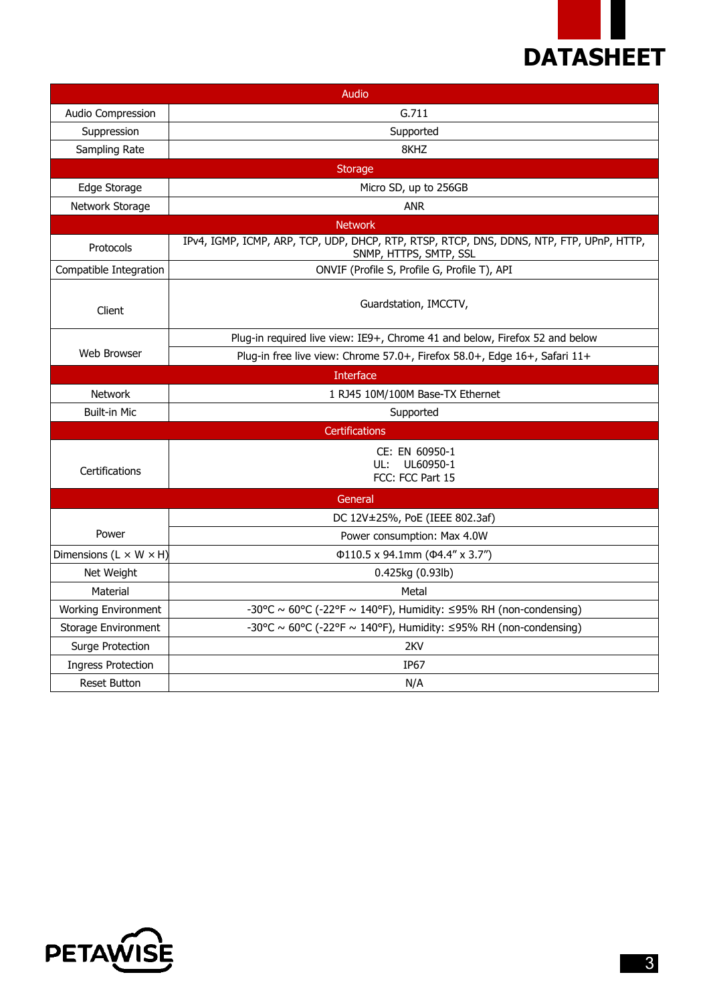

| Audio                                |                                                                                                                    |  |  |  |  |
|--------------------------------------|--------------------------------------------------------------------------------------------------------------------|--|--|--|--|
| Audio Compression                    | G.711                                                                                                              |  |  |  |  |
| Suppression                          | Supported                                                                                                          |  |  |  |  |
| Sampling Rate                        | 8KHZ                                                                                                               |  |  |  |  |
|                                      | <b>Storage</b>                                                                                                     |  |  |  |  |
| Edge Storage                         | Micro SD, up to 256GB                                                                                              |  |  |  |  |
| Network Storage                      | <b>ANR</b>                                                                                                         |  |  |  |  |
|                                      | <b>Network</b>                                                                                                     |  |  |  |  |
| Protocols                            | IPv4, IGMP, ICMP, ARP, TCP, UDP, DHCP, RTP, RTSP, RTCP, DNS, DDNS, NTP, FTP, UPnP, HTTP,<br>SNMP, HTTPS, SMTP, SSL |  |  |  |  |
| Compatible Integration               | ONVIF (Profile S, Profile G, Profile T), API                                                                       |  |  |  |  |
| Client                               | Guardstation, IMCCTV,                                                                                              |  |  |  |  |
|                                      | Plug-in required live view: IE9+, Chrome 41 and below, Firefox 52 and below                                        |  |  |  |  |
| Web Browser                          | Plug-in free live view: Chrome 57.0+, Firefox 58.0+, Edge 16+, Safari 11+                                          |  |  |  |  |
|                                      | <b>Interface</b>                                                                                                   |  |  |  |  |
| <b>Network</b>                       | 1 RJ45 10M/100M Base-TX Ethernet                                                                                   |  |  |  |  |
| <b>Built-in Mic</b>                  | Supported                                                                                                          |  |  |  |  |
|                                      | Certifications                                                                                                     |  |  |  |  |
| Certifications                       | CE: EN 60950-1<br>UL60950-1<br>UL:<br>FCC: FCC Part 15                                                             |  |  |  |  |
| General                              |                                                                                                                    |  |  |  |  |
|                                      | DC 12V±25%, PoE (IEEE 802.3af)                                                                                     |  |  |  |  |
| Power                                | Power consumption: Max 4.0W                                                                                        |  |  |  |  |
| Dimensions (L $\times$ W $\times$ H) | Φ110.5 x 94.1mm (Φ4.4" x 3.7")                                                                                     |  |  |  |  |
| Net Weight                           | 0.425kg (0.93lb)                                                                                                   |  |  |  |  |
| Material                             | Metal                                                                                                              |  |  |  |  |
| <b>Working Environment</b>           | -30°C ~ 60°C (-22°F ~ 140°F), Humidity: $\leq$ 95% RH (non-condensing)                                             |  |  |  |  |
| Storage Environment                  | -30°C ~ 60°C (-22°F ~ 140°F), Humidity: $\leq$ 95% RH (non-condensing)                                             |  |  |  |  |
| Surge Protection                     | 2KV                                                                                                                |  |  |  |  |
| <b>Ingress Protection</b>            | IP <sub>67</sub>                                                                                                   |  |  |  |  |
| <b>Reset Button</b>                  | N/A                                                                                                                |  |  |  |  |

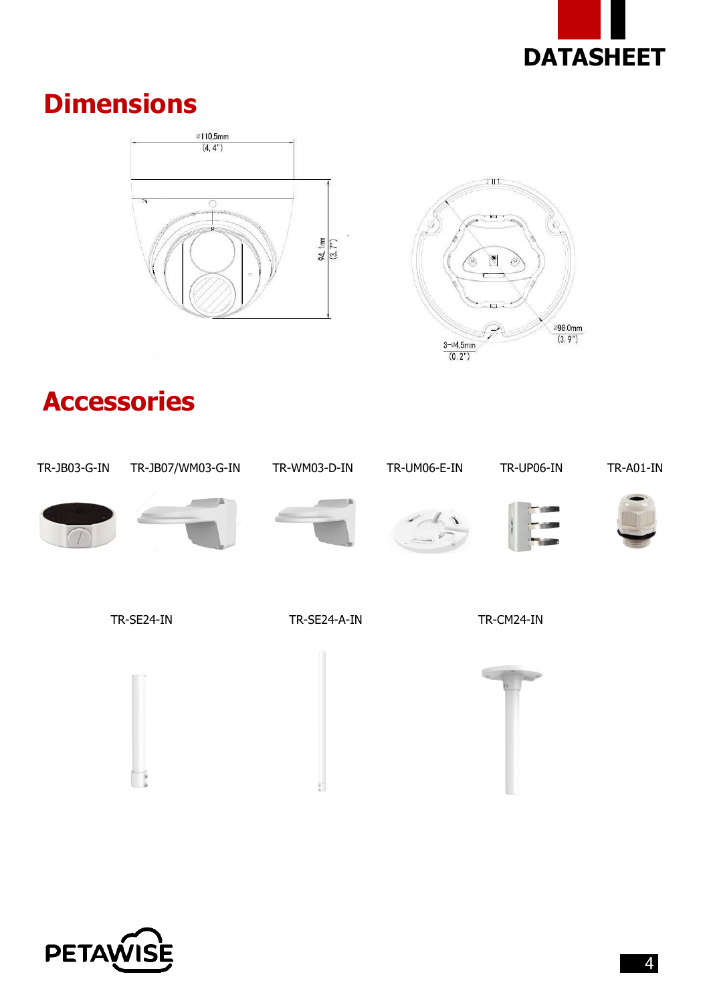

#### **Dimensions**





### **Accessories**